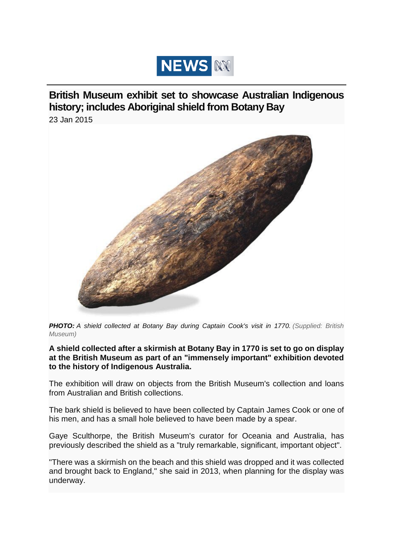

**British Museum exhibit set to showcase Australian Indigenous history; includes Aboriginal shield from Botany Bay**

[23 Jan 2015](http://www.abc.net.au/news/2015-01-23/shield-collected-at-botany-bay-during-captain-cook27s-visit/6037792)



*PHOTO: A shield collected at Botany Bay during Captain Cook's visit in 1770. (Supplied: British Museum)*

**A shield collected after a skirmish at Botany Bay in 1770 is set to go on display at the British Museum as part of an "immensely important" exhibition devoted to the history of Indigenous Australia.**

The exhibition will draw on objects from the British Museum's collection and loans from Australian and British collections.

The bark shield is believed to have been collected by Captain James Cook or one of his men, and has a small hole believed to have been made by a spear.

Gaye Sculthorpe, the British Museum's curator for Oceania and Australia, has previously described the shield as a "truly remarkable, significant, important object".

"There was a skirmish on the beach and this shield was dropped and it was collected and brought back to England," she said in 2013, when planning for the display was underway.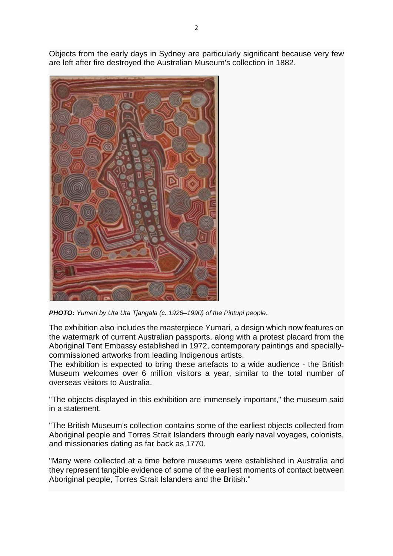Objects from the early days in Sydney are particularly significant because very few are left after fire destroyed the Australian Museum's collection in 1882.



*PHOTO: Yumari by Uta Uta Tjangala (c. 1926–1990) of the Pintupi people*.

The exhibition also includes the masterpiece Yumari*,* a design which now features on the watermark of current Australian passports, along with a protest placard from the Aboriginal Tent Embassy established in 1972, contemporary paintings and speciallycommissioned artworks from leading Indigenous artists.

The exhibition is expected to bring these artefacts to a wide audience - the British Museum welcomes over 6 million visitors a year, similar to the total number of overseas visitors to Australia.

"The objects displayed in this exhibition are immensely important," the museum said in a statement.

"The British Museum's collection contains some of the earliest objects collected from Aboriginal people and Torres Strait Islanders through early naval voyages, colonists, and missionaries dating as far back as 1770.

"Many were collected at a time before museums were established in Australia and they represent tangible evidence of some of the earliest moments of contact between Aboriginal people, Torres Strait Islanders and the British."